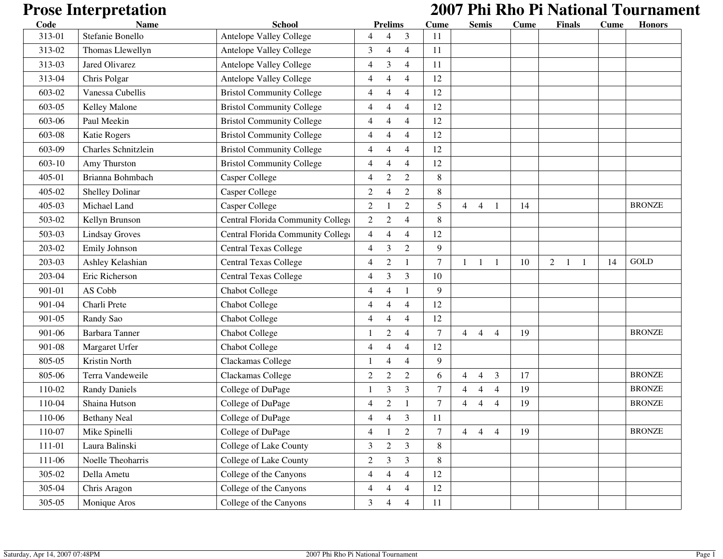| Code   | <b>Name</b>           | <b>School</b>                     | <b>Prelims</b>                                     | Cume           | <b>Semis</b>                                       | <b>Cume</b> | <b>Finals</b>                        | Cume | <b>Honors</b> |
|--------|-----------------------|-----------------------------------|----------------------------------------------------|----------------|----------------------------------------------------|-------------|--------------------------------------|------|---------------|
| 313-01 | Stefanie Bonello      | Antelope Valley College           | 3<br>4<br>4                                        | 11             |                                                    |             |                                      |      |               |
| 313-02 | Thomas Llewellyn      | Antelope Valley College           | 3<br>$\overline{4}$<br>4                           | 11             |                                                    |             |                                      |      |               |
| 313-03 | <b>Jared Olivarez</b> | Antelope Valley College           | 3<br>$\overline{4}$<br>4                           | 11             |                                                    |             |                                      |      |               |
| 313-04 | Chris Polgar          | Antelope Valley College           | $\overline{4}$<br>4<br>4                           | 12             |                                                    |             |                                      |      |               |
| 603-02 | Vanessa Cubellis      | <b>Bristol Community College</b>  | $\overline{4}$<br>4<br>4                           | 12             |                                                    |             |                                      |      |               |
| 603-05 | Kelley Malone         | <b>Bristol Community College</b>  | $\overline{4}$<br>4<br>$\overline{4}$              | 12             |                                                    |             |                                      |      |               |
| 603-06 | Paul Meekin           | <b>Bristol Community College</b>  | 4<br>$\overline{4}$<br>4                           | 12             |                                                    |             |                                      |      |               |
| 603-08 | Katie Rogers          | <b>Bristol Community College</b>  | $\overline{4}$<br>4<br>$\overline{4}$              | 12             |                                                    |             |                                      |      |               |
| 603-09 | Charles Schnitzlein   | <b>Bristol Community College</b>  | 4<br>$\overline{4}$<br>4                           | 12             |                                                    |             |                                      |      |               |
| 603-10 | Amy Thurston          | <b>Bristol Community College</b>  | $\overline{4}$<br>4<br>$\overline{4}$              | 12             |                                                    |             |                                      |      |               |
| 405-01 | Brianna Bohmbach      | <b>Casper College</b>             | $\overline{c}$<br>2<br>4                           | 8              |                                                    |             |                                      |      |               |
| 405-02 | Shelley Dolinar       | <b>Casper College</b>             | $\overline{c}$<br>2<br>$\overline{4}$              | 8              |                                                    |             |                                      |      |               |
| 405-03 | Michael Land          | Casper College                    | $\overline{c}$<br>$\overline{2}$                   | 5              | $\overline{4}$<br>$\overline{4}$<br>$\overline{1}$ | 14          |                                      |      | <b>BRONZE</b> |
| 503-02 | Kellyn Brunson        | Central Florida Community College | $\overline{c}$<br>$\overline{c}$<br>$\overline{4}$ | 8              |                                                    |             |                                      |      |               |
| 503-03 | <b>Lindsay Groves</b> | Central Florida Community College | 4<br>$\overline{4}$<br>$\overline{4}$              | 12             |                                                    |             |                                      |      |               |
| 203-02 | Emily Johnson         | <b>Central Texas College</b>      | $\overline{2}$<br>3<br>4                           | 9              |                                                    |             |                                      |      |               |
| 203-03 | Ashley Kelashian      | <b>Central Texas College</b>      | $\overline{c}$<br>4                                | $\overline{7}$ | $\overline{1}$<br>$\overline{1}$<br>$\mathbf{1}$   | 10          | $\overline{2}$<br>$\mathbf{1}$<br>-1 | 14   | GOLD          |
| 203-04 | Eric Richerson        | <b>Central Texas College</b>      | 3<br>3<br>4                                        | 10             |                                                    |             |                                      |      |               |
| 901-01 | AS Cobb               | <b>Chabot College</b>             | 4<br>4                                             | 9              |                                                    |             |                                      |      |               |
| 901-04 | Charli Prete          | <b>Chabot College</b>             | $\overline{4}$<br>4<br>$\overline{4}$              | 12             |                                                    |             |                                      |      |               |
| 901-05 | Randy Sao             | <b>Chabot College</b>             | $\overline{4}$<br>4<br>$\overline{4}$              | 12             |                                                    |             |                                      |      |               |
| 901-06 | <b>Barbara Tanner</b> | <b>Chabot College</b>             | $\overline{c}$<br>$\overline{4}$                   | $\tau$         | $\overline{4}$<br>$\overline{4}$<br>$\overline{4}$ | 19          |                                      |      | <b>BRONZE</b> |
| 901-08 | Margaret Urfer        | <b>Chabot College</b>             | 4<br>$\overline{4}$<br>4                           | 12             |                                                    |             |                                      |      |               |
| 805-05 | Kristin North         | Clackamas College                 | $\overline{4}$<br>$\overline{4}$<br>1              | 9              |                                                    |             |                                      |      |               |
| 805-06 | Terra Vandeweile      | Clackamas College                 | $\mathfrak{2}$<br>$\overline{2}$<br>$\overline{c}$ | 6              | 3<br>$\overline{4}$<br>4                           | 17          |                                      |      | <b>BRONZE</b> |
| 110-02 | <b>Randy Daniels</b>  | College of DuPage                 | 3<br>3<br>1                                        | 7              | 4<br>$\overline{4}$<br>4                           | 19          |                                      |      | <b>BRONZE</b> |
| 110-04 | Shaina Hutson         | College of DuPage                 | $\overline{2}$<br>4<br>$\mathbf{1}$                | 7              | $\overline{4}$<br>$\overline{4}$<br>$\overline{4}$ | 19          |                                      |      | <b>BRONZE</b> |
| 110-06 | <b>Bethany Neal</b>   | College of DuPage                 | $\mathfrak{Z}$<br>4<br>4                           | 11             |                                                    |             |                                      |      |               |
| 110-07 | Mike Spinelli         | College of DuPage                 | $\overline{2}$<br>4                                | 7              | $\overline{4}$<br>$\overline{4}$<br>$\overline{4}$ | 19          |                                      |      | <b>BRONZE</b> |
| 111-01 | Laura Balinski        | College of Lake County            | 3<br>$\mathfrak{2}$<br>3                           | 8              |                                                    |             |                                      |      |               |
| 111-06 | Noelle Theoharris     | College of Lake County            | $\overline{c}$<br>3<br>3                           | 8              |                                                    |             |                                      |      |               |
| 305-02 | Della Ametu           | College of the Canyons            | $\overline{4}$<br>4<br>$\overline{4}$              | 12             |                                                    |             |                                      |      |               |
| 305-04 | Chris Aragon          | College of the Canyons            | 4<br>$\overline{4}$<br>4                           | 12             |                                                    |             |                                      |      |               |
| 305-05 | Monique Aros          | College of the Canyons            | 3<br>$\overline{4}$<br>$\overline{4}$              | 11             |                                                    |             |                                      |      |               |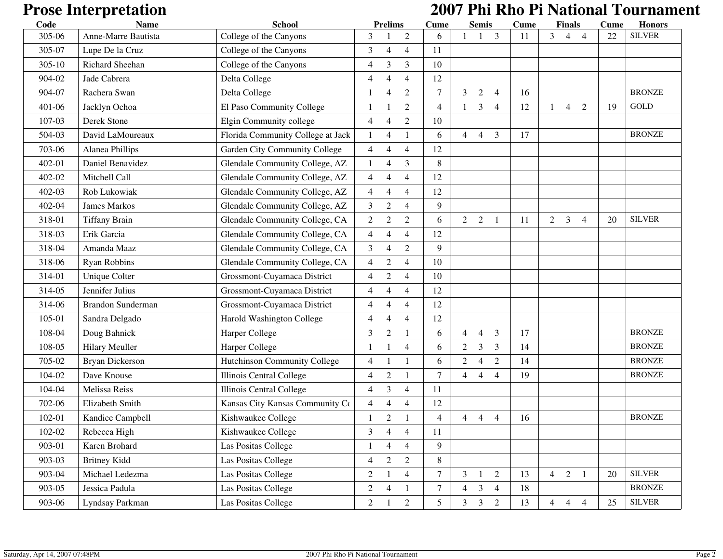| Code       | <b>Name</b>              | <b>School</b>                     | <b>Prelims</b>                                     | <b>Cume</b>     | <b>Semis</b>                                       | <b>Cume</b> | <b>Finals</b>                                      | Cume | <b>Honors</b> |
|------------|--------------------------|-----------------------------------|----------------------------------------------------|-----------------|----------------------------------------------------|-------------|----------------------------------------------------|------|---------------|
| 305-06     | Anne-Marre Bautista      | College of the Canyons            | $\overline{2}$<br>3                                | 6               | 3<br>1                                             | 11          | 3<br>$\overline{4}$<br>$\overline{4}$              | 22   | <b>SILVER</b> |
| 305-07     | Lupe De la Cruz          | College of the Canyons            | 3<br>4<br>4                                        | 11              |                                                    |             |                                                    |      |               |
| $305 - 10$ | Richard Sheehan          | College of the Canyons            | 3<br>3<br>$\overline{4}$                           | 10              |                                                    |             |                                                    |      |               |
| 904-02     | Jade Cabrera             | Delta College                     | $\overline{4}$<br>$\overline{4}$<br>4              | 12              |                                                    |             |                                                    |      |               |
| 904-07     | Rachera Swan             | Delta College                     | $\overline{2}$<br>4                                | $\overline{7}$  | 3<br>$\overline{2}$<br>$\overline{4}$              | 16          |                                                    |      | <b>BRONZE</b> |
| 401-06     | Jacklyn Ochoa            | El Paso Community College         | $\overline{2}$<br>$\mathbf{1}$                     | $\overline{4}$  | 3<br>$\overline{4}$                                | 12          | 2<br>$\overline{4}$<br>$\mathbf{1}$                | 19   | GOLD          |
| 107-03     | Derek Stone              | Elgin Community college           | $\overline{2}$<br>$\overline{4}$<br>4              | 10              |                                                    |             |                                                    |      |               |
| 504-03     | David LaMoureaux         | Florida Community College at Jack | $\mathbf{1}$<br>$\overline{4}$                     | 6               | 3<br>$\overline{4}$<br>$\overline{4}$              | 17          |                                                    |      | <b>BRONZE</b> |
| 703-06     | Alanea Phillips          | Garden City Community College     | $\overline{4}$<br>$\overline{4}$<br>$\overline{4}$ | 12              |                                                    |             |                                                    |      |               |
| 402-01     | Daniel Benavidez         | Glendale Community College, AZ    | 3<br>1<br>$\overline{4}$                           | 8               |                                                    |             |                                                    |      |               |
| 402-02     | Mitchell Call            | Glendale Community College, AZ    | 4<br>4<br>4                                        | 12              |                                                    |             |                                                    |      |               |
| 402-03     | Rob Lukowiak             | Glendale Community College, AZ    | 4<br>4<br>4                                        | 12              |                                                    |             |                                                    |      |               |
| 402-04     | James Markos             | Glendale Community College, AZ    | 3<br>$\overline{4}$<br>$\overline{c}$              | 9               |                                                    |             |                                                    |      |               |
| 318-01     | <b>Tiffany Brain</b>     | Glendale Community College, CA    | 2<br>$\overline{c}$<br>2                           | 6               | $\overline{2}$<br>2<br>$\overline{1}$              | 11          | $\overline{2}$<br>3<br>$\overline{4}$              | 20   | <b>SILVER</b> |
| 318-03     | Erik Garcia              | Glendale Community College, CA    | $\overline{4}$<br>4<br>4                           | 12              |                                                    |             |                                                    |      |               |
| 318-04     | Amanda Maaz              | Glendale Community College, CA    | 3<br>$\mathbf{2}$<br>$\overline{4}$                | 9               |                                                    |             |                                                    |      |               |
| 318-06     | <b>Ryan Robbins</b>      | Glendale Community College, CA    | $\overline{4}$<br>$\overline{c}$<br>$\overline{4}$ | 10              |                                                    |             |                                                    |      |               |
| 314-01     | <b>Unique Colter</b>     | Grossmont-Cuyamaca District       | $\mathfrak{2}$<br>$\overline{4}$<br>4              | 10              |                                                    |             |                                                    |      |               |
| 314-05     | Jennifer Julius          | Grossmont-Cuyamaca District       | $\overline{4}$<br>$\overline{4}$<br>4              | 12              |                                                    |             |                                                    |      |               |
| 314-06     | <b>Brandon Sunderman</b> | Grossmont-Cuyamaca District       | $\overline{4}$<br>$\overline{4}$<br>4              | 12              |                                                    |             |                                                    |      |               |
| 105-01     | Sandra Delgado           | Harold Washington College         | $\overline{4}$<br>$\overline{4}$<br>4              | 12              |                                                    |             |                                                    |      |               |
| 108-04     | Doug Bahnick             | Harper College                    | 3<br>$\overline{2}$                                | 6               | 3<br>$\overline{4}$<br>$\overline{4}$              | 17          |                                                    |      | <b>BRONZE</b> |
| 108-05     | <b>Hilary Meuller</b>    | Harper College                    | $\overline{4}$<br>-1                               | 6               | 3<br>3<br>2                                        | 14          |                                                    |      | <b>BRONZE</b> |
| 705-02     | Bryan Dickerson          | Hutchinson Community College      | 4                                                  | 6               | $\overline{c}$<br>$\overline{2}$<br>$\overline{4}$ | 14          |                                                    |      | <b>BRONZE</b> |
| 104-02     | Dave Knouse              | Illinois Central College          | $\overline{c}$<br>$\overline{4}$                   | $\overline{7}$  | $\overline{4}$<br>$\overline{4}$<br>$\overline{4}$ | 19          |                                                    |      | <b>BRONZE</b> |
| 104-04     | Melissa Reiss            | Illinois Central College          | 3<br>4<br>$\overline{4}$                           | 11              |                                                    |             |                                                    |      |               |
| 702-06     | Elizabeth Smith          | Kansas City Kansas Community Co   | $\overline{4}$<br>4<br>4                           | 12              |                                                    |             |                                                    |      |               |
| 102-01     | Kandice Campbell         | Kishwaukee College                | $\boldsymbol{2}$                                   | $\overline{4}$  | 4<br>$\overline{4}$<br>4                           | 16          |                                                    |      | <b>BRONZE</b> |
| 102-02     | Rebecca High             | Kishwaukee College                | $\mathfrak{Z}$<br>$\overline{4}$<br>4              | 11              |                                                    |             |                                                    |      |               |
| 903-01     | Karen Brohard            | Las Positas College               | $\overline{4}$<br>4<br>-1                          | 9               |                                                    |             |                                                    |      |               |
| 903-03     | <b>Britney Kidd</b>      | Las Positas College               | $\overline{2}$<br>$\overline{2}$<br>$\overline{4}$ | $\,8\,$         |                                                    |             |                                                    |      |               |
| 903-04     | Michael Ledezma          | Las Positas College               | 2<br>$\overline{4}$                                | $\tau$          | 3<br>2<br>1                                        | 13          | 2<br>$\overline{4}$<br>$\overline{1}$              | 20   | <b>SILVER</b> |
| 903-05     | Jessica Padula           | Las Positas College               | $\overline{2}$<br>$\overline{4}$                   | $\tau$          | 4<br>3<br>4                                        | 18          |                                                    |      | <b>BRONZE</b> |
| 903-06     | Lyndsay Parkman          | Las Positas College               | $\overline{2}$<br>$\overline{2}$                   | $5\overline{)}$ | $\overline{3}$<br>$\mathfrak{Z}$<br>2              | 13          | $\overline{4}$<br>$\overline{4}$<br>$\overline{4}$ | 25   | <b>SILVER</b> |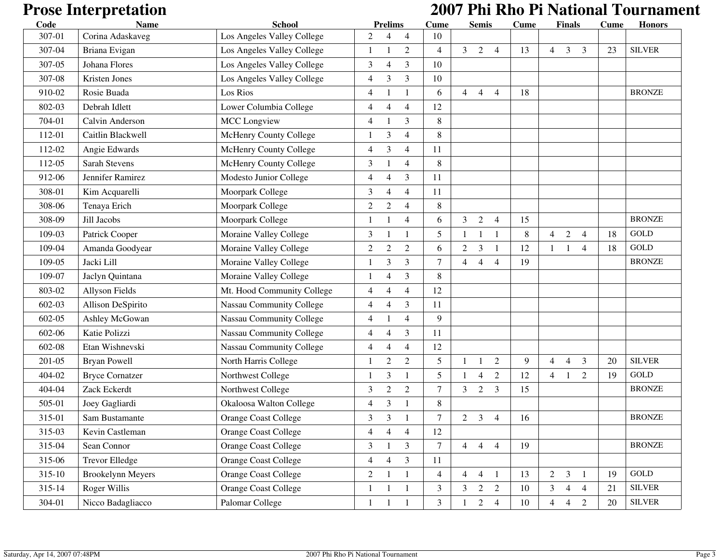| Code   | <b>Name</b>              | <b>School</b>                   | <b>Prelims</b>                                     | <b>Cume</b>    | <b>Semis</b>                                       | Cume | <b>Finals</b>                                      | <b>Cume</b> | <b>Honors</b>         |
|--------|--------------------------|---------------------------------|----------------------------------------------------|----------------|----------------------------------------------------|------|----------------------------------------------------|-------------|-----------------------|
| 307-01 | Corina Adaskaveg         | Los Angeles Valley College      | $\overline{2}$<br>4<br>4                           | 10             |                                                    |      |                                                    |             |                       |
| 307-04 | Briana Evigan            | Los Angeles Valley College      | 2<br>-1                                            | $\overline{4}$ | $\mathfrak{Z}$<br>2<br>$\overline{4}$              | 13   | $\overline{4}$<br>3<br>3                           | 23          | <b>SILVER</b>         |
| 307-05 | Johana Flores            | Los Angeles Valley College      | 3<br>3<br>4                                        | 10             |                                                    |      |                                                    |             |                       |
| 307-08 | Kristen Jones            | Los Angeles Valley College      | 3<br>4<br>3                                        | 10             |                                                    |      |                                                    |             |                       |
| 910-02 | Rosie Buada              | Los Rios                        | $\overline{4}$                                     | 6              | $\overline{4}$<br>4<br>$\overline{4}$              | 18   |                                                    |             | <b>BRONZE</b>         |
| 802-03 | Debrah Idlett            | Lower Columbia College          | $\overline{4}$<br>$\overline{4}$<br>$\overline{4}$ | 12             |                                                    |      |                                                    |             |                       |
| 704-01 | Calvin Anderson          | <b>MCC</b> Longview             | 3<br>$\overline{4}$                                | 8              |                                                    |      |                                                    |             |                       |
| 112-01 | Caitlin Blackwell        | McHenry County College          | 3<br>$\overline{4}$<br>$\mathbf{1}$                | 8              |                                                    |      |                                                    |             |                       |
| 112-02 | Angie Edwards            | McHenry County College          | 3<br>$\overline{4}$<br>$\overline{4}$              | 11             |                                                    |      |                                                    |             |                       |
| 112-05 | <b>Sarah Stevens</b>     | McHenry County College          | $\overline{4}$<br>3                                | 8              |                                                    |      |                                                    |             |                       |
| 912-06 | Jennifer Ramirez         | Modesto Junior College          | 3<br>4<br>4                                        | 11             |                                                    |      |                                                    |             |                       |
| 308-01 | Kim Acquarelli           | Moorpark College                | 3<br>$\overline{4}$<br>4                           | 11             |                                                    |      |                                                    |             |                       |
| 308-06 | Tenaya Erich             | Moorpark College                | $\mathfrak{2}$<br>$\overline{2}$<br>$\overline{4}$ | 8              |                                                    |      |                                                    |             |                       |
| 308-09 | Jill Jacobs              | Moorpark College                | $\overline{4}$<br>-1                               | 6              | 3<br>2<br>$\overline{4}$                           | 15   |                                                    |             | <b>BRONZE</b>         |
| 109-03 | Patrick Cooper           | Moraine Valley College          | 3                                                  | 5              | -1<br>$\mathbf{1}$                                 | 8    | $\overline{2}$<br>$\overline{4}$<br>$\overline{4}$ | 18          | GOLD                  |
| 109-04 | Amanda Goodyear          | Moraine Valley College          | $\mathfrak{2}$<br>$\mathbf{2}$<br>$\overline{2}$   | 6              | $\mathfrak{Z}$<br>$\overline{2}$<br>$\mathbf{1}$   | 12   | $\overline{4}$<br>1<br>$\mathbf{1}$                | 18          | GOLD                  |
| 109-05 | Jacki Lill               | Moraine Valley College          | 3<br>3<br>1                                        | $\tau$         | $\overline{4}$<br>$\overline{4}$<br>4              | 19   |                                                    |             | <b>BRONZE</b>         |
| 109-07 | Jaclyn Quintana          | Moraine Valley College          | 3<br>$\mathbf{1}$<br>$\overline{4}$                | 8              |                                                    |      |                                                    |             |                       |
| 803-02 | Allyson Fields           | Mt. Hood Community College      | $\overline{4}$<br>$\overline{4}$<br>4              | 12             |                                                    |      |                                                    |             |                       |
| 602-03 | Allison DeSpirito        | <b>Nassau Community College</b> | 3<br>$\overline{4}$<br>$\overline{4}$              | 11             |                                                    |      |                                                    |             |                       |
| 602-05 | Ashley McGowan           | <b>Nassau Community College</b> | $\overline{4}$<br>$\overline{4}$                   | 9              |                                                    |      |                                                    |             |                       |
| 602-06 | Katie Polizzi            | <b>Nassau Community College</b> | 3<br>4<br>4                                        | 11             |                                                    |      |                                                    |             |                       |
| 602-08 | Etan Wishnevski          | <b>Nassau Community College</b> | $\overline{4}$<br>$\overline{4}$<br>4              | 12             |                                                    |      |                                                    |             |                       |
| 201-05 | <b>Bryan Powell</b>      | North Harris College            | $\overline{c}$<br>2                                | 5              | 2<br>$\mathbf{1}$                                  | 9    | 3<br>$\overline{4}$<br>$\overline{4}$              | 20          | <b>SILVER</b>         |
| 404-02 | <b>Bryce Cornatzer</b>   | Northwest College               | 3                                                  | 5              | $\overline{2}$<br>4<br>$\mathbf{1}$                | 12   | $\mathfrak{2}$<br>4                                | 19          | GOLD                  |
| 404-04 | Zack Eckerdt             | Northwest College               | 3<br>$\overline{2}$<br>$\overline{c}$              | $\tau$         | 3<br>3<br>2                                        | 15   |                                                    |             | <b>BRONZE</b>         |
| 505-01 | Joey Gagliardi           | Okaloosa Walton College         | 3<br>$\overline{4}$                                | 8              |                                                    |      |                                                    |             |                       |
| 315-01 | Sam Bustamante           | <b>Orange Coast College</b>     | 3<br>$\mathfrak{Z}$                                | $\tau$         | $\mathfrak{Z}$<br>2<br>$\overline{4}$              | 16   |                                                    |             | <b>BRONZE</b>         |
| 315-03 | Kevin Castleman          | <b>Orange Coast College</b>     | $\overline{4}$<br>4<br>4                           | 12             |                                                    |      |                                                    |             |                       |
| 315-04 | Sean Connor              | <b>Orange Coast College</b>     | 3<br>$\overline{3}$                                | $\tau$         | $\overline{4}$<br>$\overline{4}$<br>4              | 19   |                                                    |             | <b>BRONZE</b>         |
| 315-06 | <b>Trevor Elledge</b>    | <b>Orange Coast College</b>     | $\overline{4}$<br>3<br>$\overline{4}$              | 11             |                                                    |      |                                                    |             |                       |
| 315-10 | <b>Brookelynn Meyers</b> | <b>Orange Coast College</b>     | $\overline{2}$<br>1<br>$\mathbf{1}$                | $\overline{4}$ | $\overline{4}$<br>$\overline{4}$<br>$\overline{1}$ | 13   | 3<br>$\overline{2}$<br>$\mathbf{1}$                | 19          | $\operatorname{GOLD}$ |
| 315-14 | Roger Willis             | <b>Orange Coast College</b>     | 1<br>$\mathbf{1}$<br>1                             | 3 <sup>1</sup> | $2 \quad 2$<br>3                                   | 10   | $\mathfrak{Z}$<br>$\overline{4}$<br>$\overline{4}$ | 21          | <b>SILVER</b>         |
| 304-01 | Nicco Badagliacco        | Palomar College                 | $\mathbf{1}$<br>$\mathbf{1}$<br>-1                 | $\mathfrak{Z}$ | $\overline{2}$<br>$\overline{4}$<br>$\mathbf{1}$   | 10   | $\overline{4}$<br>$\overline{4}$<br>2              | 20          | <b>SILVER</b>         |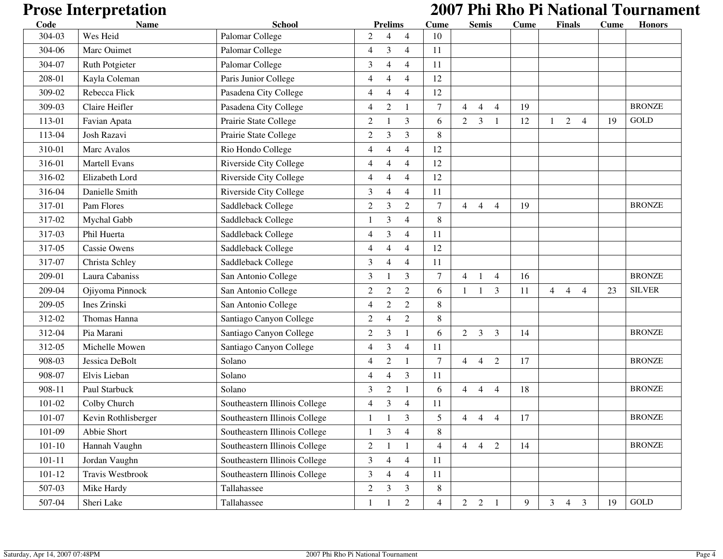| Code       | <b>Name</b>         | <b>School</b>                 | <b>Prelims</b>                                     | Cume           | <b>Semis</b>                                       | Cume | <b>Finals</b>                                      | Cume | <b>Honors</b>         |
|------------|---------------------|-------------------------------|----------------------------------------------------|----------------|----------------------------------------------------|------|----------------------------------------------------|------|-----------------------|
| 304-03     | Wes Heid            | Palomar College               | 2<br>4<br>4                                        | 10             |                                                    |      |                                                    |      |                       |
| 304-06     | Marc Ouimet         | Palomar College               | 3<br>$\overline{4}$<br>$\overline{4}$              | 11             |                                                    |      |                                                    |      |                       |
| 304-07     | Ruth Potgieter      | Palomar College               | 3<br>4<br>$\overline{4}$                           | 11             |                                                    |      |                                                    |      |                       |
| 208-01     | Kayla Coleman       | Paris Junior College          | $\overline{4}$<br>$\overline{4}$<br>4              | 12             |                                                    |      |                                                    |      |                       |
| 309-02     | Rebecca Flick       | Pasadena City College         | 4<br>4<br>$\overline{4}$                           | 12             |                                                    |      |                                                    |      |                       |
| 309-03     | Claire Heifler      | Pasadena City College         | $\overline{2}$<br>$\overline{4}$<br>$\mathbf{1}$   | $\overline{7}$ | $\overline{4}$<br>$\overline{4}$<br>$\overline{4}$ | 19   |                                                    |      | <b>BRONZE</b>         |
| 113-01     | Favian Apata        | Prairie State College         | $\overline{c}$<br>3                                | 6              | $\mathfrak{Z}$<br>$\overline{2}$<br>$\overline{1}$ | 12   | $\overline{2}$<br>$\overline{4}$<br>$\mathbf{1}$   | 19   | GOLD                  |
| 113-04     | Josh Razavi         | Prairie State College         | $\sqrt{2}$<br>3<br>3                               | 8              |                                                    |      |                                                    |      |                       |
| 310-01     | Marc Avalos         | Rio Hondo College             | $\overline{4}$<br>$\overline{4}$<br>4              | 12             |                                                    |      |                                                    |      |                       |
| 316-01     | Martell Evans       | Riverside City College        | 4<br>4<br>4                                        | 12             |                                                    |      |                                                    |      |                       |
| 316-02     | Elizabeth Lord      | Riverside City College        | 4<br>4<br>$\overline{4}$                           | 12             |                                                    |      |                                                    |      |                       |
| 316-04     | Danielle Smith      | Riverside City College        | 3<br>4<br>$\overline{4}$                           | 11             |                                                    |      |                                                    |      |                       |
| 317-01     | Pam Flores          | Saddleback College            | $\mathfrak{2}$<br>3<br>$\overline{2}$              | $\overline{7}$ | $\overline{4}$<br>$\overline{4}$<br>$\overline{4}$ | 19   |                                                    |      | <b>BRONZE</b>         |
| 317-02     | Mychal Gabb         | Saddleback College            | 3<br>$\overline{4}$                                | 8              |                                                    |      |                                                    |      |                       |
| 317-03     | Phil Huerta         | Saddleback College            | $\overline{4}$<br>3<br>$\overline{4}$              | 11             |                                                    |      |                                                    |      |                       |
| 317-05     | <b>Cassie Owens</b> | Saddleback College            | $\overline{4}$<br>4<br>4                           | 12             |                                                    |      |                                                    |      |                       |
| 317-07     | Christa Schley      | Saddleback College            | 3<br>4<br>4                                        | 11             |                                                    |      |                                                    |      |                       |
| 209-01     | Laura Cabaniss      | San Antonio College           | 3<br>3                                             | $\tau$         | $\overline{4}$<br>$\overline{4}$<br>$\mathbf{1}$   | 16   |                                                    |      | <b>BRONZE</b>         |
| 209-04     | Ojiyoma Pinnock     | San Antonio College           | $\sqrt{2}$<br>$\overline{2}$<br>$\overline{2}$     | 6              | 3<br>$\mathbf{1}$<br>-1                            | 11   | $\overline{4}$<br>4<br>$\overline{4}$              | 23   | <b>SILVER</b>         |
| 209-05     | Ines Zrinski        | San Antonio College           | $\mathfrak{2}$<br>$\overline{4}$<br>$\overline{c}$ | 8              |                                                    |      |                                                    |      |                       |
| 312-02     | Thomas Hanna        | Santiago Canyon College       | $\overline{c}$<br>2<br>4                           | 8              |                                                    |      |                                                    |      |                       |
| 312-04     | Pia Marani          | Santiago Canyon College       | $\sqrt{2}$<br>3<br>$\mathbf{1}$                    | 6              | $\overline{2}$<br>3<br>3                           | 14   |                                                    |      | <b>BRONZE</b>         |
| 312-05     | Michelle Mowen      | Santiago Canyon College       | $\overline{4}$<br>3<br>4                           | 11             |                                                    |      |                                                    |      |                       |
| 908-03     | Jessica DeBolt      | Solano                        | $\overline{c}$<br>$\overline{4}$<br>-1             | $\overline{7}$ | $\overline{4}$<br>2<br>$\overline{4}$              | 17   |                                                    |      | <b>BRONZE</b>         |
| 908-07     | Elvis Lieban        | Solano                        | 3<br>$\overline{4}$<br>4                           | 11             |                                                    |      |                                                    |      |                       |
| 908-11     | Paul Starbuck       | Solano                        | 3<br>$\mathfrak{2}$<br>$\mathbf{1}$                | 6              | $\overline{4}$<br>$\overline{4}$<br>4              | 18   |                                                    |      | <b>BRONZE</b>         |
| 101-02     | Colby Church        | Southeastern Illinois College | 3<br>$\overline{4}$<br>$\overline{4}$              | 11             |                                                    |      |                                                    |      |                       |
| 101-07     | Kevin Rothlisberger | Southeastern Illinois College | 3                                                  | 5              | $\overline{4}$<br>$\overline{4}$<br>$\overline{4}$ | 17   |                                                    |      | <b>BRONZE</b>         |
| 101-09     | Abbie Short         | Southeastern Illinois College | $\mathfrak{Z}$<br>$\overline{4}$                   | 8              |                                                    |      |                                                    |      |                       |
| $101 - 10$ | Hannah Vaughn       | Southeastern Illinois College | $\overline{2}$<br>1                                | $\overline{4}$ | $\overline{4}$<br>$4\quad 2$                       | 14   |                                                    |      | <b>BRONZE</b>         |
| $101 - 11$ | Jordan Vaughn       | Southeastern Illinois College | 3<br>$\overline{4}$<br>$\overline{4}$              | 11             |                                                    |      |                                                    |      |                       |
| $101 - 12$ | Travis Westbrook    | Southeastern Illinois College | $\mathfrak{Z}$<br>$\overline{4}$<br>4              | 11             |                                                    |      |                                                    |      |                       |
| 507-03     | Mike Hardy          | Tallahassee                   | $\overline{2}$<br>3<br>3                           | 8              |                                                    |      |                                                    |      |                       |
| 507-04     | Sheri Lake          | Tallahassee                   | $\overline{c}$<br>$\mathbf{1}$<br>$\mathbf{1}$     | $\overline{4}$ | $2 \quad 2 \quad 1$                                | 9    | $\mathfrak{Z}$<br>$\overline{4}$<br>$\overline{3}$ | 19   | $\operatorname{GOLD}$ |